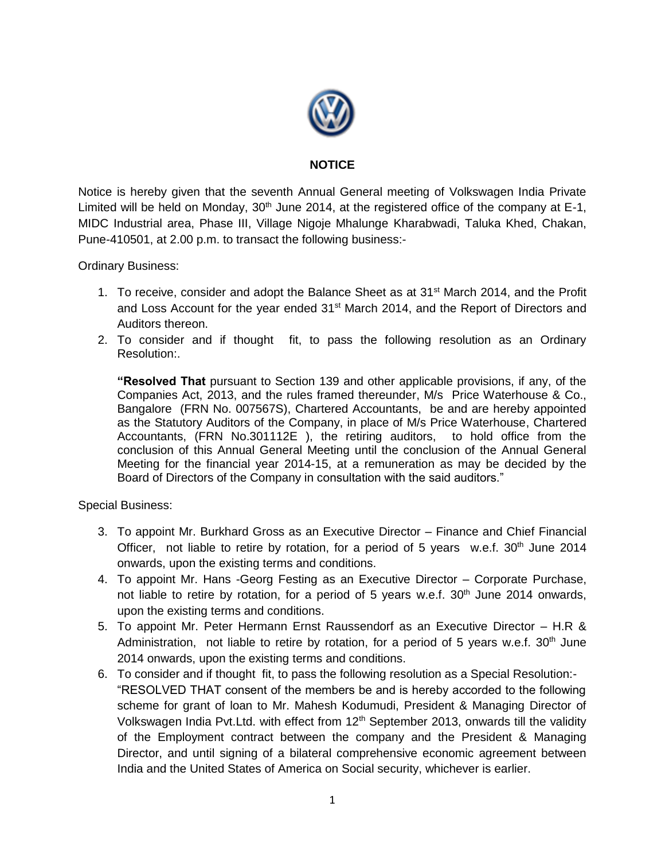

## **NOTICE**

Notice is hereby given that the seventh Annual General meeting of Volkswagen India Private Limited will be held on Monday,  $30<sup>th</sup>$  June 2014, at the registered office of the company at E-1, MIDC Industrial area, Phase III, Village Nigoje Mhalunge Kharabwadi, Taluka Khed, Chakan, Pune-410501, at 2.00 p.m. to transact the following business:-

Ordinary Business:

- 1. To receive, consider and adopt the Balance Sheet as at 31<sup>st</sup> March 2014, and the Profit and Loss Account for the year ended 31<sup>st</sup> March 2014, and the Report of Directors and Auditors thereon.
- 2. To consider and if thought fit, to pass the following resolution as an Ordinary Resolution:.

**"Resolved That** pursuant to Section 139 and other applicable provisions, if any, of the Companies Act, 2013, and the rules framed thereunder, M/s Price Waterhouse & Co., Bangalore (FRN No. 007567S), Chartered Accountants, be and are hereby appointed as the Statutory Auditors of the Company, in place of M/s Price Waterhouse, Chartered Accountants, (FRN No.301112E ), the retiring auditors, to hold office from the conclusion of this Annual General Meeting until the conclusion of the Annual General Meeting for the financial year 2014-15, at a remuneration as may be decided by the Board of Directors of the Company in consultation with the said auditors."

Special Business:

- 3. To appoint Mr. Burkhard Gross as an Executive Director Finance and Chief Financial Officer, not liable to retire by rotation, for a period of 5 years w.e.f.  $30<sup>th</sup>$  June 2014 onwards, upon the existing terms and conditions.
- 4. To appoint Mr. Hans -Georg Festing as an Executive Director Corporate Purchase, not liable to retire by rotation, for a period of 5 years w.e.f.  $30<sup>th</sup>$  June 2014 onwards, upon the existing terms and conditions.
- 5. To appoint Mr. Peter Hermann Ernst Raussendorf as an Executive Director H.R & Administration, not liable to retire by rotation, for a period of 5 years w.e.f.  $30<sup>th</sup>$  June 2014 onwards, upon the existing terms and conditions.
- 6. To consider and if thought fit, to pass the following resolution as a Special Resolution:- "RESOLVED THAT consent of the members be and is hereby accorded to the following scheme for grant of loan to Mr. Mahesh Kodumudi, President & Managing Director of Volkswagen India Pvt. Ltd. with effect from  $12<sup>th</sup>$  September 2013, onwards till the validity of the Employment contract between the company and the President & Managing Director, and until signing of a bilateral comprehensive economic agreement between India and the United States of America on Social security, whichever is earlier.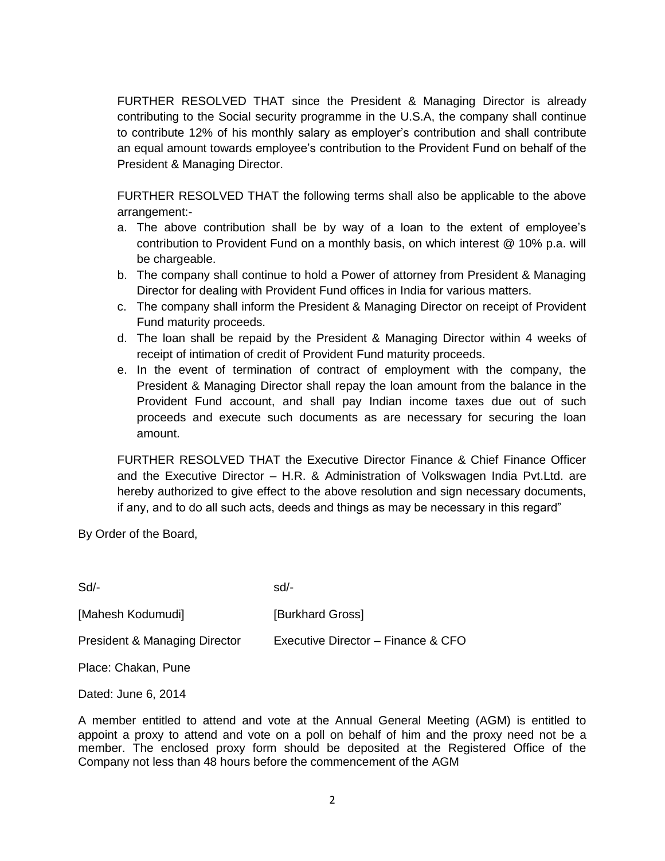FURTHER RESOLVED THAT since the President & Managing Director is already contributing to the Social security programme in the U.S.A, the company shall continue to contribute 12% of his monthly salary as employer's contribution and shall contribute an equal amount towards employee's contribution to the Provident Fund on behalf of the President & Managing Director.

FURTHER RESOLVED THAT the following terms shall also be applicable to the above arrangement:-

- a. The above contribution shall be by way of a loan to the extent of employee's contribution to Provident Fund on a monthly basis, on which interest @ 10% p.a. will be chargeable.
- b. The company shall continue to hold a Power of attorney from President & Managing Director for dealing with Provident Fund offices in India for various matters.
- c. The company shall inform the President & Managing Director on receipt of Provident Fund maturity proceeds.
- d. The loan shall be repaid by the President & Managing Director within 4 weeks of receipt of intimation of credit of Provident Fund maturity proceeds.
- e. In the event of termination of contract of employment with the company, the President & Managing Director shall repay the loan amount from the balance in the Provident Fund account, and shall pay Indian income taxes due out of such proceeds and execute such documents as are necessary for securing the loan amount.

FURTHER RESOLVED THAT the Executive Director Finance & Chief Finance Officer and the Executive Director – H.R. & Administration of Volkswagen India Pvt.Ltd. are hereby authorized to give effect to the above resolution and sign necessary documents, if any, and to do all such acts, deeds and things as may be necessary in this regard"

By Order of the Board,

| $Sd$ -                                   | $sd/$ -                            |
|------------------------------------------|------------------------------------|
| [Mahesh Kodumudi]                        | [Burkhard Gross]                   |
| <b>President &amp; Managing Director</b> | Executive Director - Finance & CFO |
| Place: Chakan, Pune                      |                                    |

Dated: June 6, 2014

A member entitled to attend and vote at the Annual General Meeting (AGM) is entitled to appoint a proxy to attend and vote on a poll on behalf of him and the proxy need not be a member. The enclosed proxy form should be deposited at the Registered Office of the Company not less than 48 hours before the commencement of the AGM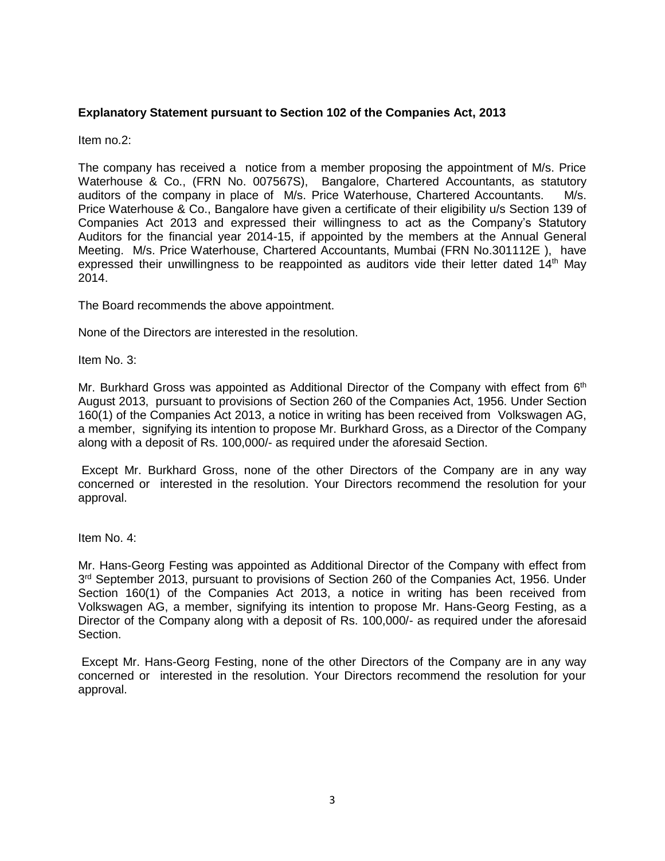## **Explanatory Statement pursuant to Section 102 of the Companies Act, 2013**

Item no.2:

The company has received a notice from a member proposing the appointment of M/s. Price Waterhouse & Co., (FRN No. 007567S), Bangalore, Chartered Accountants, as statutory auditors of the company in place of M/s. Price Waterhouse, Chartered Accountants. M/s. Price Waterhouse & Co., Bangalore have given a certificate of their eligibility u/s Section 139 of Companies Act 2013 and expressed their willingness to act as the Company's Statutory Auditors for the financial year 2014-15, if appointed by the members at the Annual General Meeting. M/s. Price Waterhouse, Chartered Accountants, Mumbai (FRN No.301112E ), have expressed their unwillingness to be reappointed as auditors vide their letter dated  $14<sup>th</sup>$  May 2014.

The Board recommends the above appointment.

None of the Directors are interested in the resolution.

Item No. 3:

Mr. Burkhard Gross was appointed as Additional Director of the Company with effect from 6<sup>th</sup> August 2013, pursuant to provisions of Section 260 of the Companies Act, 1956. Under Section 160(1) of the Companies Act 2013, a notice in writing has been received from Volkswagen AG, a member, signifying its intention to propose Mr. Burkhard Gross, as a Director of the Company along with a deposit of Rs. 100,000/- as required under the aforesaid Section.

Except Mr. Burkhard Gross, none of the other Directors of the Company are in any way concerned or interested in the resolution. Your Directors recommend the resolution for your approval.

Item No. 4:

Mr. Hans-Georg Festing was appointed as Additional Director of the Company with effect from 3<sup>rd</sup> September 2013, pursuant to provisions of Section 260 of the Companies Act, 1956. Under Section 160(1) of the Companies Act 2013, a notice in writing has been received from Volkswagen AG, a member, signifying its intention to propose Mr. Hans-Georg Festing, as a Director of the Company along with a deposit of Rs. 100,000/- as required under the aforesaid Section.

Except Mr. Hans-Georg Festing, none of the other Directors of the Company are in any way concerned or interested in the resolution. Your Directors recommend the resolution for your approval.